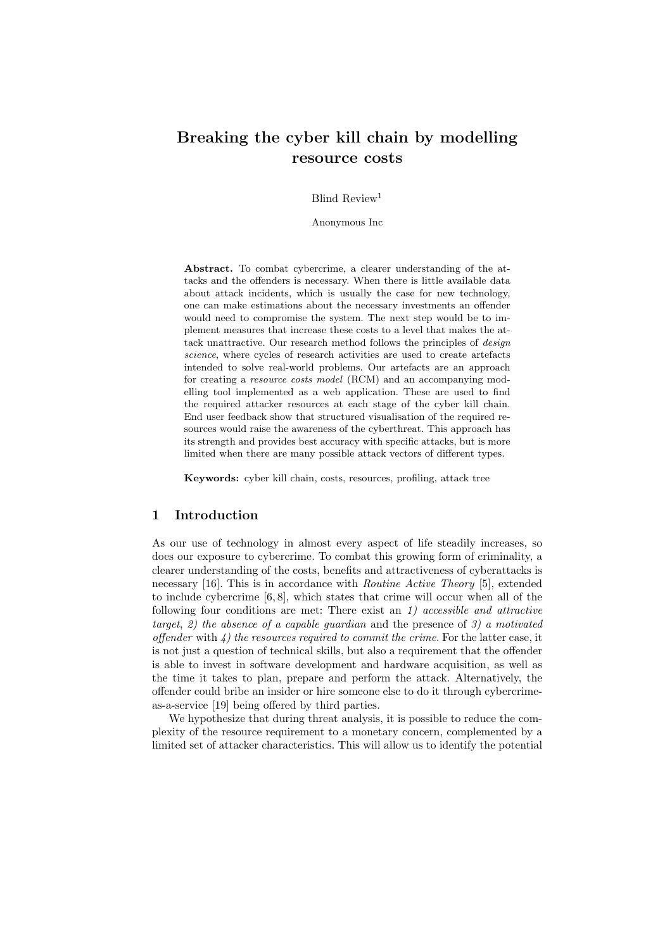# Breaking the cyber kill chain by modelling resource costs

Blind Review<sup>1</sup>

Anonymous Inc

Abstract. To combat cybercrime, a clearer understanding of the attacks and the offenders is necessary. When there is little available data about attack incidents, which is usually the case for new technology, one can make estimations about the necessary investments an offender would need to compromise the system. The next step would be to implement measures that increase these costs to a level that makes the attack unattractive. Our research method follows the principles of design science, where cycles of research activities are used to create artefacts intended to solve real-world problems. Our artefacts are an approach for creating a resource costs model (RCM) and an accompanying modelling tool implemented as a web application. These are used to find the required attacker resources at each stage of the cyber kill chain. End user feedback show that structured visualisation of the required resources would raise the awareness of the cyberthreat. This approach has its strength and provides best accuracy with specific attacks, but is more limited when there are many possible attack vectors of different types.

Keywords: cyber kill chain, costs, resources, profiling, attack tree

### 1 Introduction

As our use of technology in almost every aspect of life steadily increases, so does our exposure to cybercrime. To combat this growing form of criminality, a clearer understanding of the costs, benefits and attractiveness of cyberattacks is necessary [16]. This is in accordance with Routine Active Theory [5], extended to include cybercrime [6, 8], which states that crime will occur when all of the following four conditions are met: There exist an 1) accessible and attractive target, 2) the absence of a capable quardian and the presence of 3) a motivated offender with  $\chi$ ) the resources required to commit the crime. For the latter case, it is not just a question of technical skills, but also a requirement that the offender is able to invest in software development and hardware acquisition, as well as the time it takes to plan, prepare and perform the attack. Alternatively, the offender could bribe an insider or hire someone else to do it through cybercrimeas-a-service [19] being offered by third parties.

We hypothesize that during threat analysis, it is possible to reduce the complexity of the resource requirement to a monetary concern, complemented by a limited set of attacker characteristics. This will allow us to identify the potential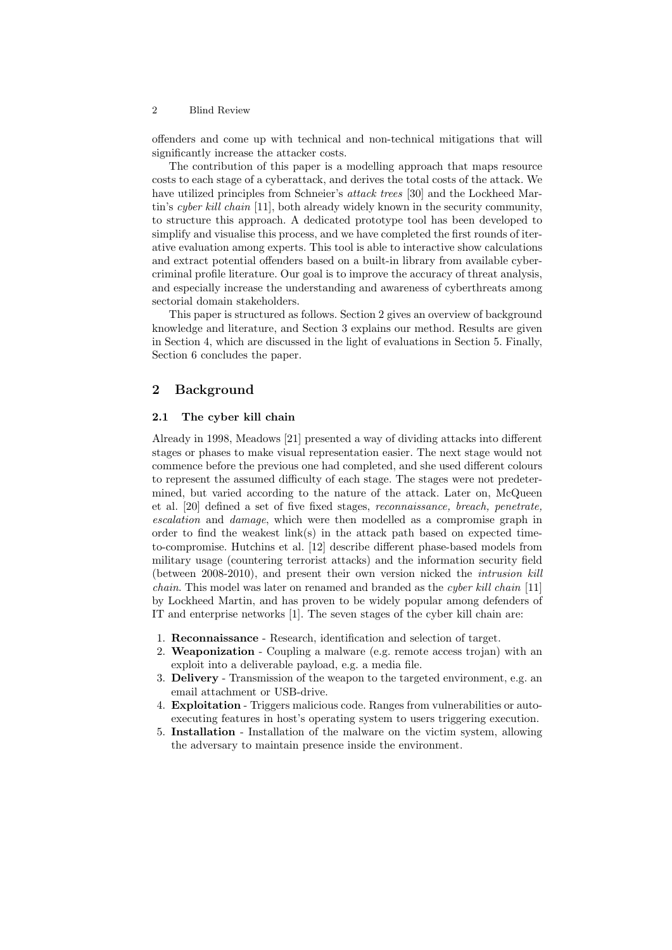offenders and come up with technical and non-technical mitigations that will significantly increase the attacker costs.

The contribution of this paper is a modelling approach that maps resource costs to each stage of a cyberattack, and derives the total costs of the attack. We have utilized principles from Schneier's *attack trees* [30] and the Lockheed Martin's cyber kill chain [11], both already widely known in the security community, to structure this approach. A dedicated prototype tool has been developed to simplify and visualise this process, and we have completed the first rounds of iterative evaluation among experts. This tool is able to interactive show calculations and extract potential offenders based on a built-in library from available cybercriminal profile literature. Our goal is to improve the accuracy of threat analysis, and especially increase the understanding and awareness of cyberthreats among sectorial domain stakeholders.

This paper is structured as follows. Section 2 gives an overview of background knowledge and literature, and Section 3 explains our method. Results are given in Section 4, which are discussed in the light of evaluations in Section 5. Finally, Section 6 concludes the paper.

# 2 Background

### 2.1 The cyber kill chain

Already in 1998, Meadows [21] presented a way of dividing attacks into different stages or phases to make visual representation easier. The next stage would not commence before the previous one had completed, and she used different colours to represent the assumed difficulty of each stage. The stages were not predetermined, but varied according to the nature of the attack. Later on, McQueen et al. [20] defined a set of five fixed stages, reconnaissance, breach, penetrate, escalation and damage, which were then modelled as a compromise graph in order to find the weakest  $link(s)$  in the attack path based on expected timeto-compromise. Hutchins et al. [12] describe different phase-based models from military usage (countering terrorist attacks) and the information security field (between 2008-2010), and present their own version nicked the intrusion kill chain. This model was later on renamed and branded as the cyber kill chain [11] by Lockheed Martin, and has proven to be widely popular among defenders of IT and enterprise networks [1]. The seven stages of the cyber kill chain are:

- 1. Reconnaissance Research, identification and selection of target.
- 2. Weaponization Coupling a malware (e.g. remote access trojan) with an exploit into a deliverable payload, e.g. a media file.
- 3. Delivery Transmission of the weapon to the targeted environment, e.g. an email attachment or USB-drive.
- 4. Exploitation Triggers malicious code. Ranges from vulnerabilities or autoexecuting features in host's operating system to users triggering execution.
- 5. Installation Installation of the malware on the victim system, allowing the adversary to maintain presence inside the environment.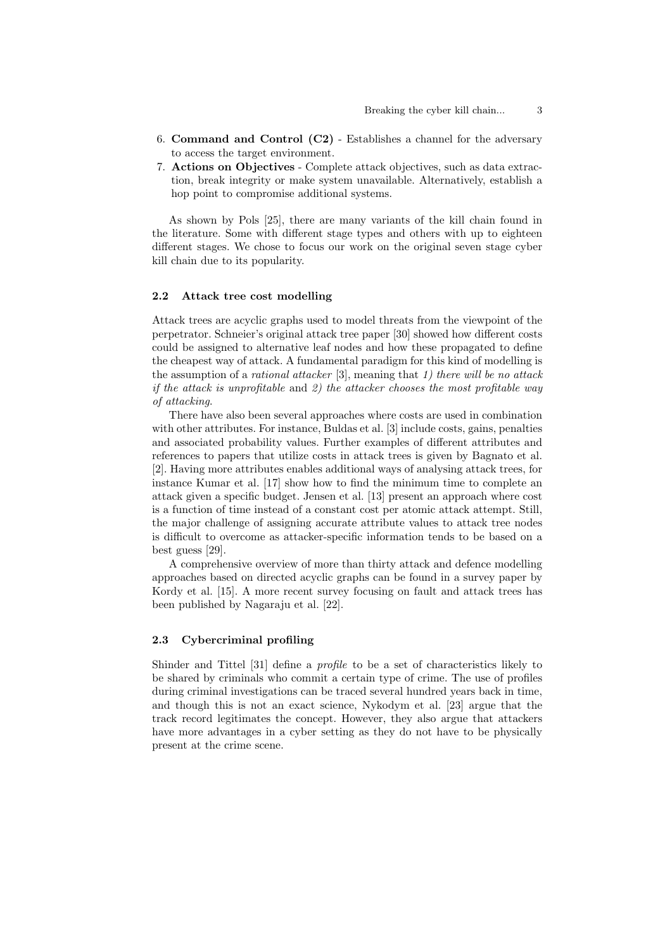- 6. Command and Control (C2) Establishes a channel for the adversary to access the target environment.
- 7. Actions on Objectives Complete attack objectives, such as data extraction, break integrity or make system unavailable. Alternatively, establish a hop point to compromise additional systems.

As shown by Pols [25], there are many variants of the kill chain found in the literature. Some with different stage types and others with up to eighteen different stages. We chose to focus our work on the original seven stage cyber kill chain due to its popularity.

#### 2.2 Attack tree cost modelling

Attack trees are acyclic graphs used to model threats from the viewpoint of the perpetrator. Schneier's original attack tree paper [30] showed how different costs could be assigned to alternative leaf nodes and how these propagated to define the cheapest way of attack. A fundamental paradigm for this kind of modelling is the assumption of a *rational attacker* [3], meaning that  $1$ ) there will be no attack if the attack is unprofitable and  $2$ ) the attacker chooses the most profitable way of attacking.

There have also been several approaches where costs are used in combination with other attributes. For instance, Buldas et al. [3] include costs, gains, penalties and associated probability values. Further examples of different attributes and references to papers that utilize costs in attack trees is given by Bagnato et al. [2]. Having more attributes enables additional ways of analysing attack trees, for instance Kumar et al. [17] show how to find the minimum time to complete an attack given a specific budget. Jensen et al. [13] present an approach where cost is a function of time instead of a constant cost per atomic attack attempt. Still, the major challenge of assigning accurate attribute values to attack tree nodes is difficult to overcome as attacker-specific information tends to be based on a best guess [29].

A comprehensive overview of more than thirty attack and defence modelling approaches based on directed acyclic graphs can be found in a survey paper by Kordy et al. [15]. A more recent survey focusing on fault and attack trees has been published by Nagaraju et al. [22].

#### 2.3 Cybercriminal profiling

Shinder and Tittel [31] define a profile to be a set of characteristics likely to be shared by criminals who commit a certain type of crime. The use of profiles during criminal investigations can be traced several hundred years back in time, and though this is not an exact science, Nykodym et al. [23] argue that the track record legitimates the concept. However, they also argue that attackers have more advantages in a cyber setting as they do not have to be physically present at the crime scene.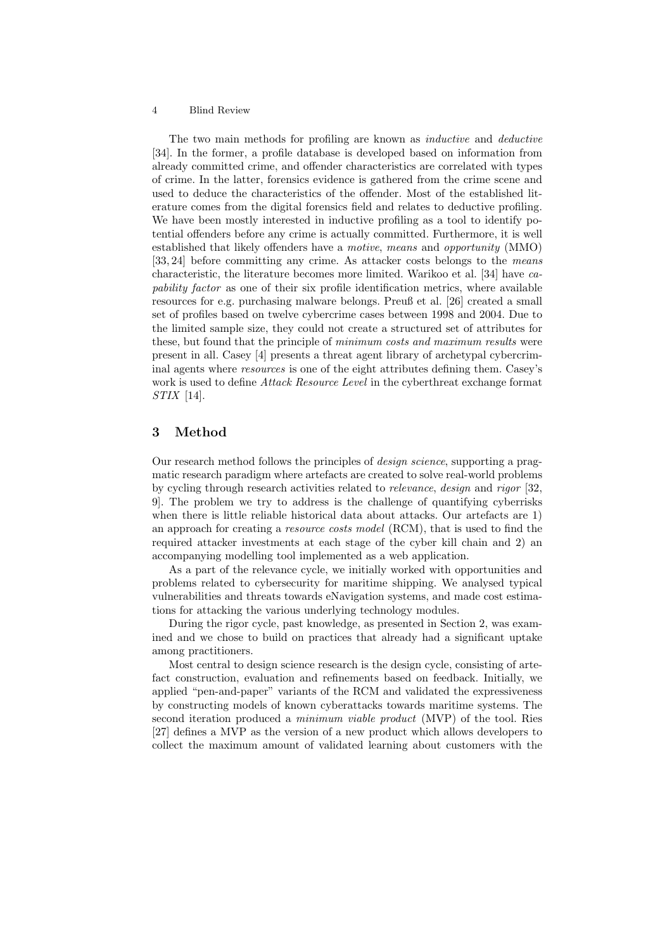The two main methods for profiling are known as inductive and deductive [34]. In the former, a profile database is developed based on information from already committed crime, and offender characteristics are correlated with types of crime. In the latter, forensics evidence is gathered from the crime scene and used to deduce the characteristics of the offender. Most of the established literature comes from the digital forensics field and relates to deductive profiling. We have been mostly interested in inductive profiling as a tool to identify potential offenders before any crime is actually committed. Furthermore, it is well established that likely offenders have a motive, means and opportunity (MMO) [33, 24] before committing any crime. As attacker costs belongs to the means characteristic, the literature becomes more limited. Warikoo et al. [34] have capability factor as one of their six profile identification metrics, where available resources for e.g. purchasing malware belongs. Preuß et al. [26] created a small set of profiles based on twelve cybercrime cases between 1998 and 2004. Due to the limited sample size, they could not create a structured set of attributes for these, but found that the principle of *minimum costs and maximum results* were present in all. Casey [4] presents a threat agent library of archetypal cybercriminal agents where resources is one of the eight attributes defining them. Casey's work is used to define *Attack Resource Level* in the cyberthreat exchange format STIX [14].

# 3 Method

Our research method follows the principles of design science, supporting a pragmatic research paradigm where artefacts are created to solve real-world problems by cycling through research activities related to relevance, design and rigor [32, 9]. The problem we try to address is the challenge of quantifying cyberrisks when there is little reliable historical data about attacks. Our artefacts are 1) an approach for creating a *resource costs model* (RCM), that is used to find the required attacker investments at each stage of the cyber kill chain and 2) an accompanying modelling tool implemented as a web application.

As a part of the relevance cycle, we initially worked with opportunities and problems related to cybersecurity for maritime shipping. We analysed typical vulnerabilities and threats towards eNavigation systems, and made cost estimations for attacking the various underlying technology modules.

During the rigor cycle, past knowledge, as presented in Section 2, was examined and we chose to build on practices that already had a significant uptake among practitioners.

Most central to design science research is the design cycle, consisting of artefact construction, evaluation and refinements based on feedback. Initially, we applied "pen-and-paper" variants of the RCM and validated the expressiveness by constructing models of known cyberattacks towards maritime systems. The second iteration produced a *minimum viable product* (MVP) of the tool. Ries [27] defines a MVP as the version of a new product which allows developers to collect the maximum amount of validated learning about customers with the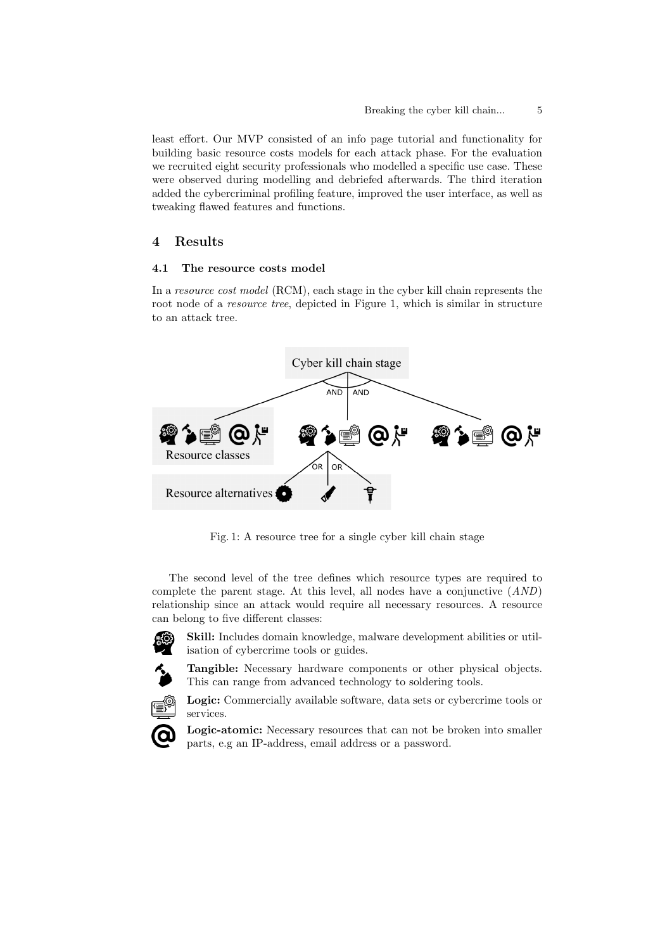least effort. Our MVP consisted of an info page tutorial and functionality for building basic resource costs models for each attack phase. For the evaluation we recruited eight security professionals who modelled a specific use case. These were observed during modelling and debriefed afterwards. The third iteration added the cybercriminal profiling feature, improved the user interface, as well as tweaking flawed features and functions.

# 4 Results

#### 4.1 The resource costs model

In a resource cost model (RCM), each stage in the cyber kill chain represents the root node of a resource tree, depicted in Figure 1, which is similar in structure to an attack tree.



Fig. 1: A resource tree for a single cyber kill chain stage

The second level of the tree defines which resource types are required to complete the parent stage. At this level, all nodes have a conjunctive  $(AND)$ relationship since an attack would require all necessary resources. A resource can belong to five different classes:



Skill: Includes domain knowledge, malware development abilities or utilisation of cybercrime tools or guides.



Tangible: Necessary hardware components or other physical objects. This can range from advanced technology to soldering tools.

Logic: Commercially available software, data sets or cybercrime tools or services.



Logic-atomic: Necessary resources that can not be broken into smaller parts, e.g an IP-address, email address or a password.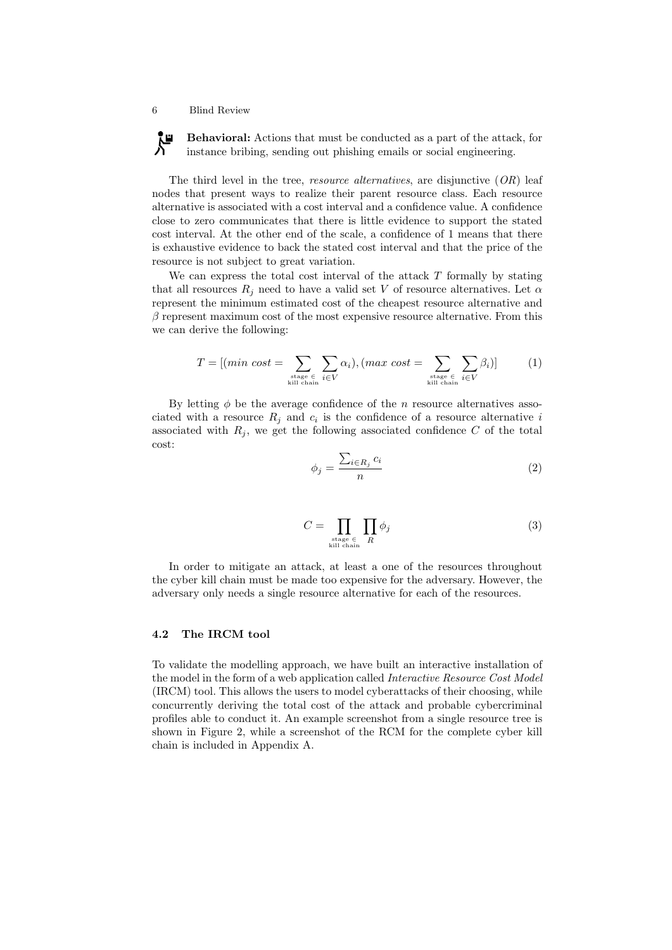뿩 Behavioral: Actions that must be conducted as a part of the attack, for instance bribing, sending out phishing emails or social engineering.

The third level in the tree, *resource alternatives*, are disjunctive  $(OR)$  leaf nodes that present ways to realize their parent resource class. Each resource alternative is associated with a cost interval and a confidence value. A confidence close to zero communicates that there is little evidence to support the stated cost interval. At the other end of the scale, a confidence of 1 means that there is exhaustive evidence to back the stated cost interval and that the price of the resource is not subject to great variation.

We can express the total cost interval of the attack  $T$  formally by stating that all resources  $R_j$  need to have a valid set V of resource alternatives. Let  $\alpha$ represent the minimum estimated cost of the cheapest resource alternative and  $\beta$  represent maximum cost of the most expensive resource alternative. From this we can derive the following:

$$
T = [(min \ cost = \sum_{\text{stage } \in \atop \text{kill chain}} \sum_{i \in V} \alpha_i), (max \ cost = \sum_{\text{stage } \in \atop \text{kill chain}} \sum_{i \in V} \beta_i)] \tag{1}
$$

By letting  $\phi$  be the average confidence of the *n* resource alternatives associated with a resource  $R_j$  and  $c_i$  is the confidence of a resource alternative i associated with  $R_i$ , we get the following associated confidence C of the total cost:

$$
\phi_j = \frac{\sum_{i \in R_j} c_i}{n} \tag{2}
$$

$$
C = \prod_{\substack{\text{stage } \in \\ \text{kill chain}}} \prod_{R} \phi_j \tag{3}
$$

In order to mitigate an attack, at least a one of the resources throughout the cyber kill chain must be made too expensive for the adversary. However, the adversary only needs a single resource alternative for each of the resources.

# 4.2 The IRCM tool

To validate the modelling approach, we have built an interactive installation of the model in the form of a web application called Interactive Resource Cost Model (IRCM) tool. This allows the users to model cyberattacks of their choosing, while concurrently deriving the total cost of the attack and probable cybercriminal profiles able to conduct it. An example screenshot from a single resource tree is shown in Figure 2, while a screenshot of the RCM for the complete cyber kill chain is included in Appendix A.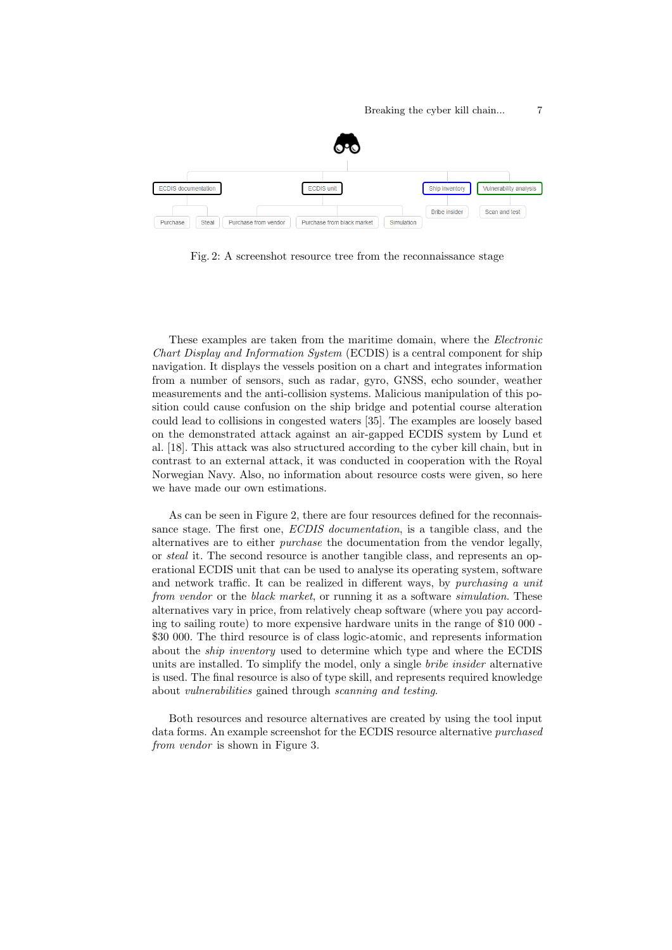

Fig. 2: A screenshot resource tree from the reconnaissance stage

These examples are taken from the maritime domain, where the Electronic Chart Display and Information System (ECDIS) is a central component for ship navigation. It displays the vessels position on a chart and integrates information from a number of sensors, such as radar, gyro, GNSS, echo sounder, weather measurements and the anti-collision systems. Malicious manipulation of this position could cause confusion on the ship bridge and potential course alteration could lead to collisions in congested waters [35]. The examples are loosely based on the demonstrated attack against an air-gapped ECDIS system by Lund et al. [18]. This attack was also structured according to the cyber kill chain, but in contrast to an external attack, it was conducted in cooperation with the Royal Norwegian Navy. Also, no information about resource costs were given, so here we have made our own estimations.

As can be seen in Figure 2, there are four resources defined for the reconnaissance stage. The first one, ECDIS documentation, is a tangible class, and the alternatives are to either purchase the documentation from the vendor legally, or steal it. The second resource is another tangible class, and represents an operational ECDIS unit that can be used to analyse its operating system, software and network traffic. It can be realized in different ways, by purchasing a unit from vendor or the black market, or running it as a software simulation. These alternatives vary in price, from relatively cheap software (where you pay according to sailing route) to more expensive hardware units in the range of \$10 000 - \$30,000. The third resource is of class logic-atomic, and represents information about the ship inventory used to determine which type and where the ECDIS units are installed. To simplify the model, only a single bribe insider alternative is used. The final resource is also of type skill, and represents required knowledge about vulnerabilities gained through scanning and testing.

Both resources and resource alternatives are created by using the tool input data forms. An example screenshot for the ECDIS resource alternative *purchased* from vendor is shown in Figure 3.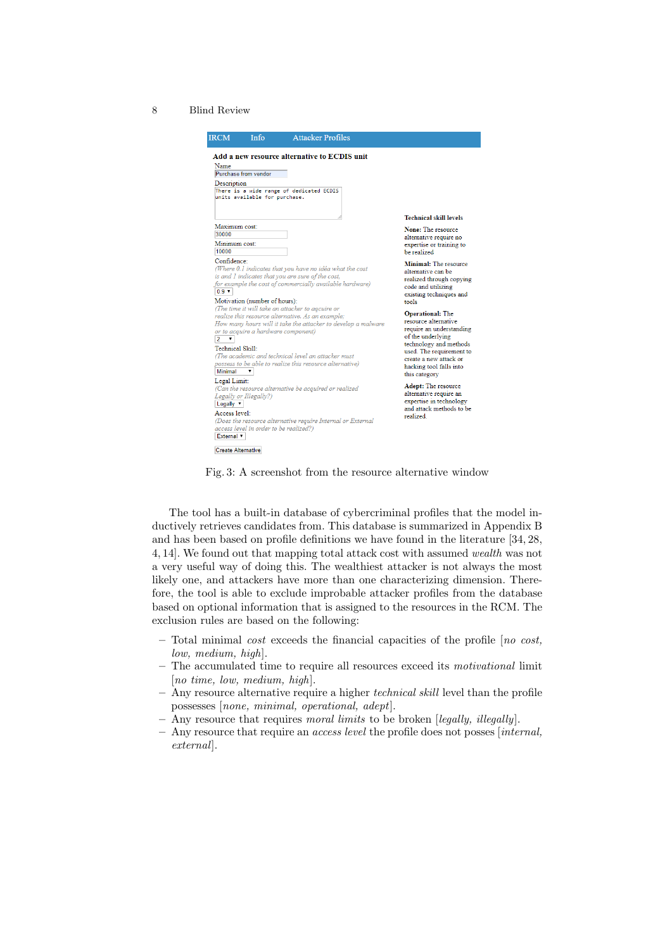

Fig. 3: A screenshot from the resource alternative window

The tool has a built-in database of cybercriminal profiles that the model inductively retrieves candidates from. This database is summarized in Appendix B and has been based on profile definitions we have found in the literature [34, 28, 4, 14]. We found out that mapping total attack cost with assumed wealth was not a very useful way of doing this. The wealthiest attacker is not always the most likely one, and attackers have more than one characterizing dimension. Therefore, the tool is able to exclude improbable attacker profiles from the database based on optional information that is assigned to the resources in the RCM. The exclusion rules are based on the following:

- $-$  Total minimal *cost* exceeds the financial capacities of the profile [no cost, low, medium, high].
- The accumulated time to require all resources exceed its motivational limit [no time, low, medium, high].
- Any resource alternative require a higher technical skill level than the profile possesses [none, minimal, operational, adept].
- $-$  Any resource that requires moral limits to be broken [legally, illegally].
- Any resource that require an access level the profile does not posses [internal, external].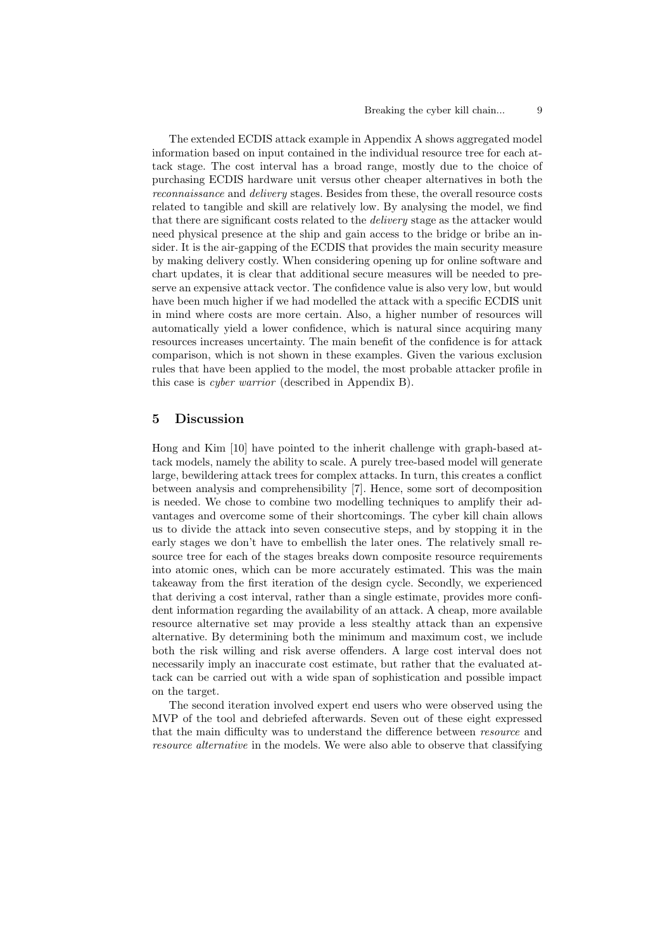#### Breaking the cyber kill chain... 9

The extended ECDIS attack example in Appendix A shows aggregated model information based on input contained in the individual resource tree for each attack stage. The cost interval has a broad range, mostly due to the choice of purchasing ECDIS hardware unit versus other cheaper alternatives in both the reconnaissance and delivery stages. Besides from these, the overall resource costs related to tangible and skill are relatively low. By analysing the model, we find that there are significant costs related to the *delivery* stage as the attacker would need physical presence at the ship and gain access to the bridge or bribe an insider. It is the air-gapping of the ECDIS that provides the main security measure by making delivery costly. When considering opening up for online software and chart updates, it is clear that additional secure measures will be needed to preserve an expensive attack vector. The confidence value is also very low, but would have been much higher if we had modelled the attack with a specific ECDIS unit in mind where costs are more certain. Also, a higher number of resources will automatically yield a lower confidence, which is natural since acquiring many resources increases uncertainty. The main benefit of the confidence is for attack comparison, which is not shown in these examples. Given the various exclusion rules that have been applied to the model, the most probable attacker profile in this case is cyber warrior (described in Appendix B).

# 5 Discussion

Hong and Kim [10] have pointed to the inherit challenge with graph-based attack models, namely the ability to scale. A purely tree-based model will generate large, bewildering attack trees for complex attacks. In turn, this creates a conflict between analysis and comprehensibility [7]. Hence, some sort of decomposition is needed. We chose to combine two modelling techniques to amplify their advantages and overcome some of their shortcomings. The cyber kill chain allows us to divide the attack into seven consecutive steps, and by stopping it in the early stages we don't have to embellish the later ones. The relatively small resource tree for each of the stages breaks down composite resource requirements into atomic ones, which can be more accurately estimated. This was the main takeaway from the first iteration of the design cycle. Secondly, we experienced that deriving a cost interval, rather than a single estimate, provides more confident information regarding the availability of an attack. A cheap, more available resource alternative set may provide a less stealthy attack than an expensive alternative. By determining both the minimum and maximum cost, we include both the risk willing and risk averse offenders. A large cost interval does not necessarily imply an inaccurate cost estimate, but rather that the evaluated attack can be carried out with a wide span of sophistication and possible impact on the target.

The second iteration involved expert end users who were observed using the MVP of the tool and debriefed afterwards. Seven out of these eight expressed that the main difficulty was to understand the difference between resource and resource alternative in the models. We were also able to observe that classifying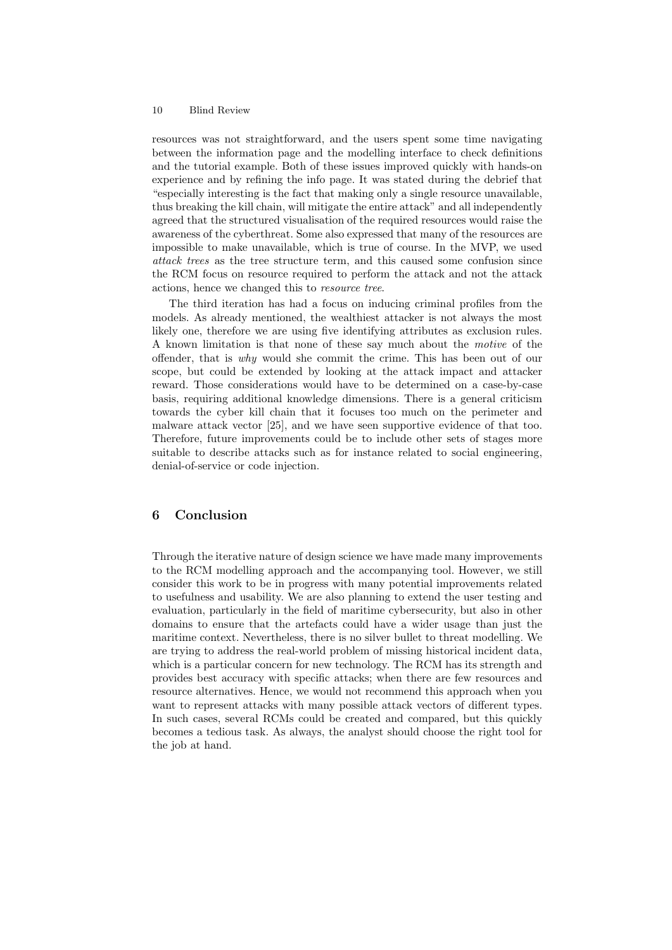resources was not straightforward, and the users spent some time navigating between the information page and the modelling interface to check definitions and the tutorial example. Both of these issues improved quickly with hands-on experience and by refining the info page. It was stated during the debrief that "especially interesting is the fact that making only a single resource unavailable, thus breaking the kill chain, will mitigate the entire attack" and all independently agreed that the structured visualisation of the required resources would raise the awareness of the cyberthreat. Some also expressed that many of the resources are impossible to make unavailable, which is true of course. In the MVP, we used attack trees as the tree structure term, and this caused some confusion since the RCM focus on resource required to perform the attack and not the attack actions, hence we changed this to resource tree.

The third iteration has had a focus on inducing criminal profiles from the models. As already mentioned, the wealthiest attacker is not always the most likely one, therefore we are using five identifying attributes as exclusion rules. A known limitation is that none of these say much about the motive of the offender, that is why would she commit the crime. This has been out of our scope, but could be extended by looking at the attack impact and attacker reward. Those considerations would have to be determined on a case-by-case basis, requiring additional knowledge dimensions. There is a general criticism towards the cyber kill chain that it focuses too much on the perimeter and malware attack vector [25], and we have seen supportive evidence of that too. Therefore, future improvements could be to include other sets of stages more suitable to describe attacks such as for instance related to social engineering, denial-of-service or code injection.

# 6 Conclusion

Through the iterative nature of design science we have made many improvements to the RCM modelling approach and the accompanying tool. However, we still consider this work to be in progress with many potential improvements related to usefulness and usability. We are also planning to extend the user testing and evaluation, particularly in the field of maritime cybersecurity, but also in other domains to ensure that the artefacts could have a wider usage than just the maritime context. Nevertheless, there is no silver bullet to threat modelling. We are trying to address the real-world problem of missing historical incident data, which is a particular concern for new technology. The RCM has its strength and provides best accuracy with specific attacks; when there are few resources and resource alternatives. Hence, we would not recommend this approach when you want to represent attacks with many possible attack vectors of different types. In such cases, several RCMs could be created and compared, but this quickly becomes a tedious task. As always, the analyst should choose the right tool for the job at hand.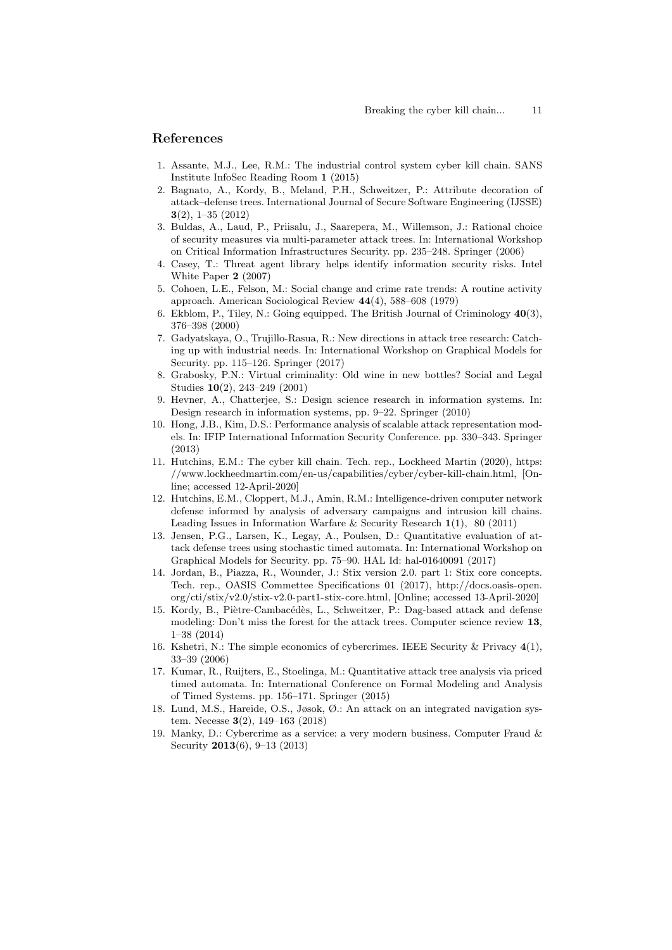#### References

- 1. Assante, M.J., Lee, R.M.: The industrial control system cyber kill chain. SANS Institute InfoSec Reading Room 1 (2015)
- 2. Bagnato, A., Kordy, B., Meland, P.H., Schweitzer, P.: Attribute decoration of attack–defense trees. International Journal of Secure Software Engineering (IJSSE) 3(2), 1–35 (2012)
- 3. Buldas, A., Laud, P., Priisalu, J., Saarepera, M., Willemson, J.: Rational choice of security measures via multi-parameter attack trees. In: International Workshop on Critical Information Infrastructures Security. pp. 235–248. Springer (2006)
- 4. Casey, T.: Threat agent library helps identify information security risks. Intel White Paper 2 (2007)
- 5. Cohoen, L.E., Felson, M.: Social change and crime rate trends: A routine activity approach. American Sociological Review 44(4), 588–608 (1979)
- 6. Ekblom, P., Tiley, N.: Going equipped. The British Journal of Criminology 40(3), 376–398 (2000)
- 7. Gadyatskaya, O., Trujillo-Rasua, R.: New directions in attack tree research: Catching up with industrial needs. In: International Workshop on Graphical Models for Security. pp. 115–126. Springer (2017)
- 8. Grabosky, P.N.: Virtual criminality: Old wine in new bottles? Social and Legal Studies 10(2), 243–249 (2001)
- 9. Hevner, A., Chatterjee, S.: Design science research in information systems. In: Design research in information systems, pp. 9–22. Springer (2010)
- 10. Hong, J.B., Kim, D.S.: Performance analysis of scalable attack representation models. In: IFIP International Information Security Conference. pp. 330–343. Springer (2013)
- 11. Hutchins, E.M.: The cyber kill chain. Tech. rep., Lockheed Martin (2020), https: //www.lockheedmartin.com/en-us/capabilities/cyber/cyber-kill-chain.html, [Online; accessed 12-April-2020]
- 12. Hutchins, E.M., Cloppert, M.J., Amin, R.M.: Intelligence-driven computer network defense informed by analysis of adversary campaigns and intrusion kill chains. Leading Issues in Information Warfare & Security Research  $1(1)$ , 80 (2011)
- 13. Jensen, P.G., Larsen, K., Legay, A., Poulsen, D.: Quantitative evaluation of attack defense trees using stochastic timed automata. In: International Workshop on Graphical Models for Security. pp. 75–90. HAL Id: hal-01640091 (2017)
- 14. Jordan, B., Piazza, R., Wounder, J.: Stix version 2.0. part 1: Stix core concepts. Tech. rep., OASIS Commettee Specifications 01 (2017), http://docs.oasis-open. org/cti/stix/v2.0/stix-v2.0-part1-stix-core.html, [Online; accessed 13-April-2020]
- 15. Kordy, B., Piètre-Cambacédès, L., Schweitzer, P.: Dag-based attack and defense modeling: Don't miss the forest for the attack trees. Computer science review 13, 1–38 (2014)
- 16. Kshetri, N.: The simple economics of cybercrimes. IEEE Security & Privacy 4(1), 33–39 (2006)
- 17. Kumar, R., Ruijters, E., Stoelinga, M.: Quantitative attack tree analysis via priced timed automata. In: International Conference on Formal Modeling and Analysis of Timed Systems. pp. 156–171. Springer (2015)
- 18. Lund, M.S., Hareide, O.S., Jøsok, Ø.: An attack on an integrated navigation system. Necesse 3(2), 149–163 (2018)
- 19. Manky, D.: Cybercrime as a service: a very modern business. Computer Fraud & Security 2013(6), 9–13 (2013)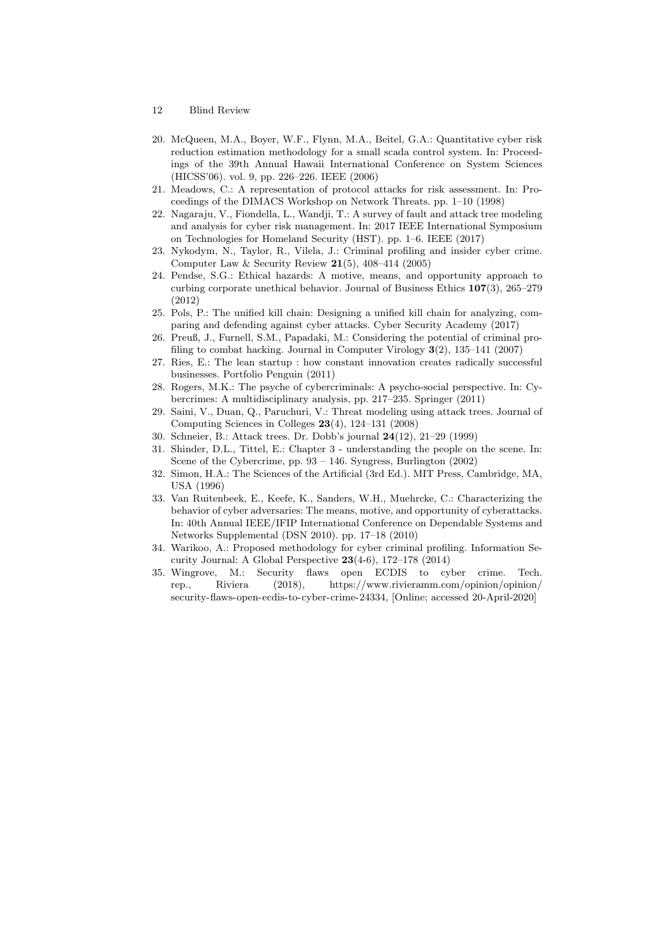- 12 Blind Review
- 20. McQueen, M.A., Boyer, W.F., Flynn, M.A., Beitel, G.A.: Quantitative cyber risk reduction estimation methodology for a small scada control system. In: Proceedings of the 39th Annual Hawaii International Conference on System Sciences (HICSS'06). vol. 9, pp. 226–226. IEEE (2006)
- 21. Meadows, C.: A representation of protocol attacks for risk assessment. In: Proceedings of the DIMACS Workshop on Network Threats. pp. 1–10 (1998)
- 22. Nagaraju, V., Fiondella, L., Wandji, T.: A survey of fault and attack tree modeling and analysis for cyber risk management. In: 2017 IEEE International Symposium on Technologies for Homeland Security (HST). pp. 1–6. IEEE (2017)
- 23. Nykodym, N., Taylor, R., Vilela, J.: Criminal profiling and insider cyber crime. Computer Law & Security Review  $21(5)$ , 408-414 (2005)
- 24. Pendse, S.G.: Ethical hazards: A motive, means, and opportunity approach to curbing corporate unethical behavior. Journal of Business Ethics 107(3), 265–279 (2012)
- 25. Pols, P.: The unified kill chain: Designing a unified kill chain for analyzing, comparing and defending against cyber attacks. Cyber Security Academy (2017)
- 26. Preuß, J., Furnell, S.M., Papadaki, M.: Considering the potential of criminal profiling to combat hacking. Journal in Computer Virology 3(2), 135–141 (2007)
- 27. Ries, E.: The lean startup : how constant innovation creates radically successful businesses. Portfolio Penguin (2011)
- 28. Rogers, M.K.: The psyche of cybercriminals: A psycho-social perspective. In: Cybercrimes: A multidisciplinary analysis, pp. 217–235. Springer (2011)
- 29. Saini, V., Duan, Q., Paruchuri, V.: Threat modeling using attack trees. Journal of Computing Sciences in Colleges 23(4), 124–131 (2008)
- 30. Schneier, B.: Attack trees. Dr. Dobb's journal 24(12), 21–29 (1999)
- Shinder, D.L., Tittel, E.: Chapter 3 understanding the people on the scene. In: Scene of the Cybercrime, pp. 93 – 146. Syngress, Burlington (2002)
- 32. Simon, H.A.: The Sciences of the Artificial (3rd Ed.). MIT Press, Cambridge, MA, USA (1996)
- 33. Van Ruitenbeek, E., Keefe, K., Sanders, W.H., Muehrcke, C.: Characterizing the behavior of cyber adversaries: The means, motive, and opportunity of cyberattacks. In: 40th Annual IEEE/IFIP International Conference on Dependable Systems and Networks Supplemental (DSN 2010). pp. 17–18 (2010)
- 34. Warikoo, A.: Proposed methodology for cyber criminal profiling. Information Security Journal: A Global Perspective 23(4-6), 172–178 (2014)
- 35. Wingrove, M.: Security flaws open ECDIS to cyber crime. Tech. rep., Riviera (2018), https://www.rivieramm.com/opinion/opinion/ security-flaws-open-ecdis-to-cyber-crime-24334, [Online; accessed 20-April-2020]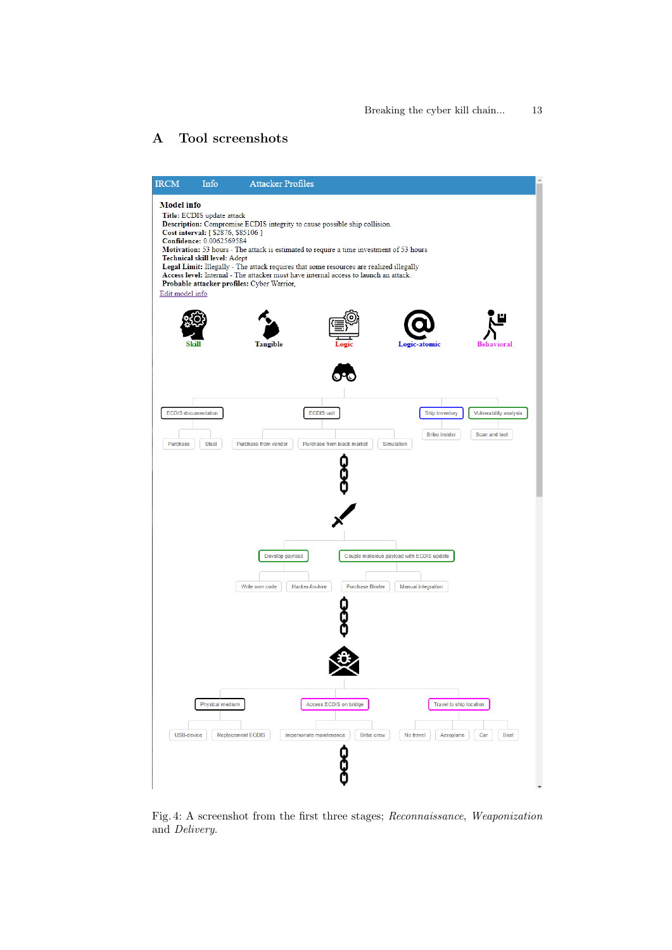# A Tool screenshots



Fig. 4: A screenshot from the first three stages; Reconnaissance, Weaponization and Delivery.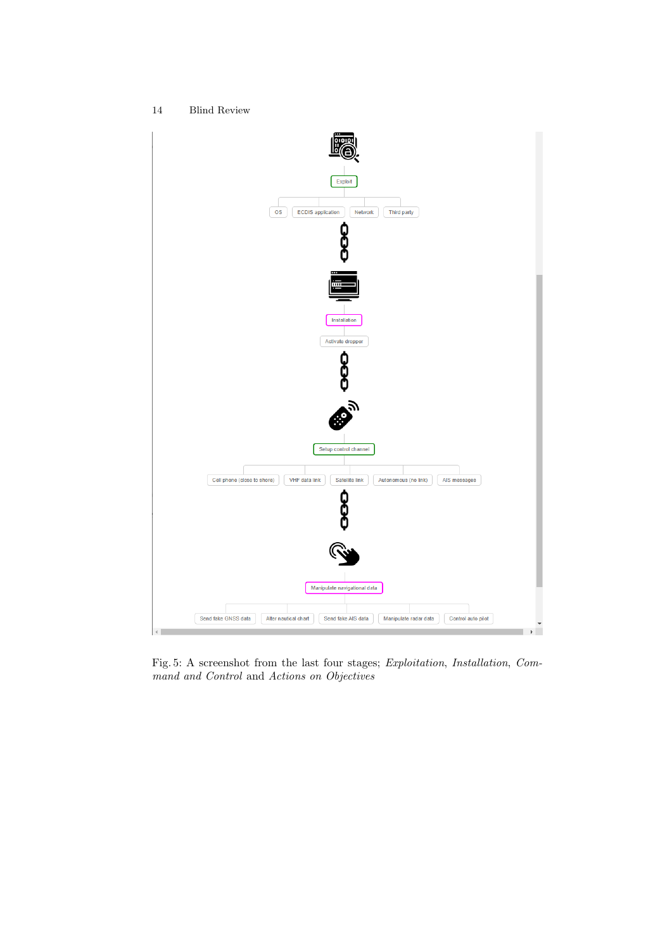

Fig. 5: A screenshot from the last four stages; Exploitation, Installation, Command and Control and Actions on Objectives